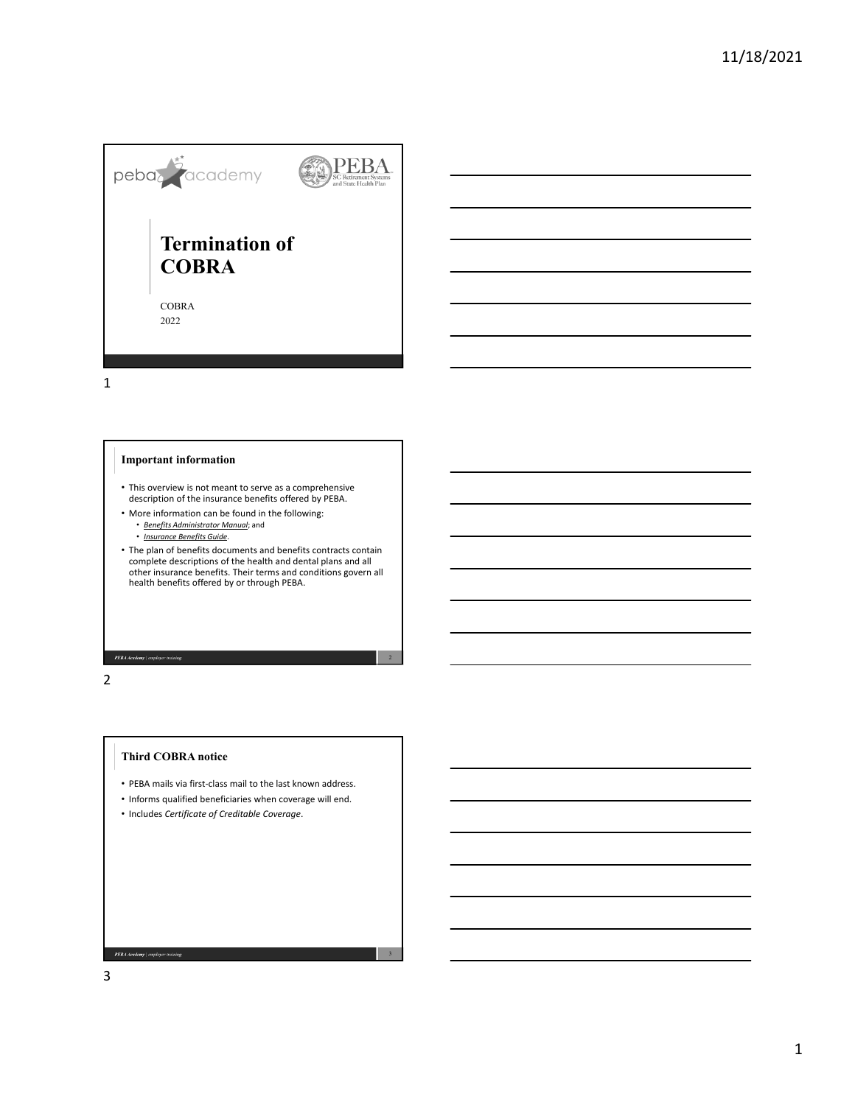

1

# **Important information**

- This overview is not meant to serve as a comprehensive description of the insurance benefits offered by PEBA.
- More information can be found in the following:
	- *Benefits Administrator Manual*; and
	- *Insurance Benefits Guide*.
- The plan of benefits documents and benefits contracts contain<br>complete descriptions of the health and dental plans and all<br>other insurance benefits. Their terms and conditions govern all<br>health benefits offered by or thr

**PEBA Academy** | employer training

2

# **Third COBRA notice**

- PEBA mails via first‐class mail to the last known address.
- Informs qualified beneficiaries when coverage will end.

3

• Includes *Certificate of Creditable Coverage*.

**PEBA Academy** | employer training 3